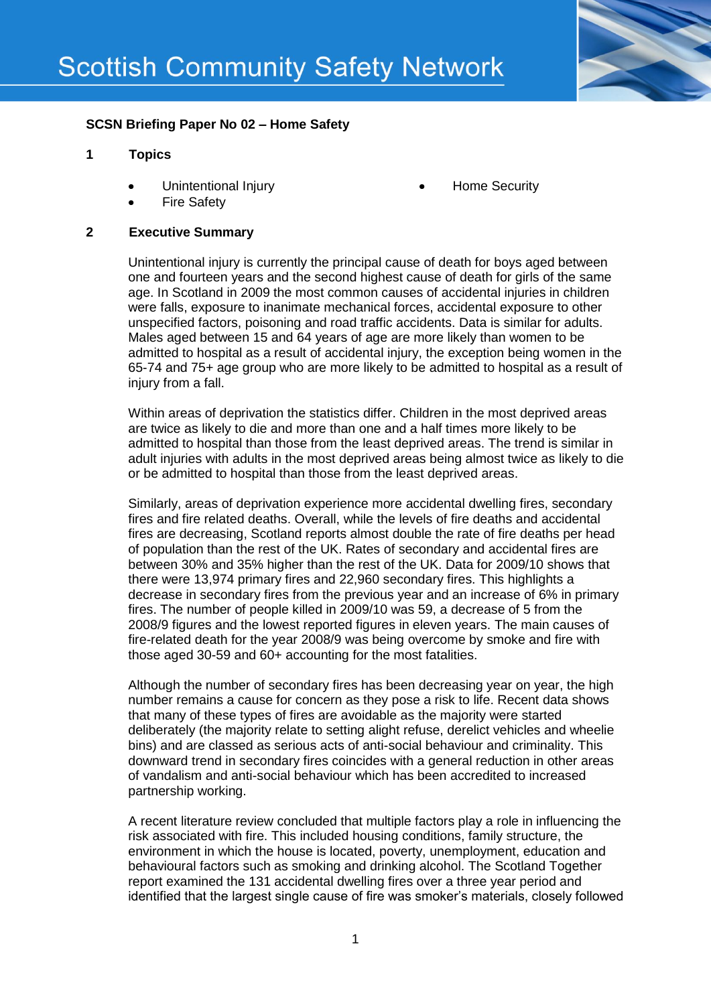

# **SCSN Briefing Paper No 02 – Home Safety**

### **1 Topics**

- Unintentional Injury
- Fire Safety

#### **2 Executive Summary**

Unintentional injury is currently the principal cause of death for boys aged between one and fourteen years and the second highest cause of death for girls of the same age. In Scotland in 2009 the most common causes of accidental injuries in children were falls, exposure to inanimate mechanical forces, accidental exposure to other unspecified factors, poisoning and road traffic accidents. Data is similar for adults. Males aged between 15 and 64 years of age are more likely than women to be admitted to hospital as a result of accidental injury, the exception being women in the 65-74 and 75+ age group who are more likely to be admitted to hospital as a result of injury from a fall.

Home Security

Within areas of deprivation the statistics differ. Children in the most deprived areas are twice as likely to die and more than one and a half times more likely to be admitted to hospital than those from the least deprived areas. The trend is similar in adult injuries with adults in the most deprived areas being almost twice as likely to die or be admitted to hospital than those from the least deprived areas.

Similarly, areas of deprivation experience more accidental dwelling fires, secondary fires and fire related deaths. Overall, while the levels of fire deaths and accidental fires are decreasing, Scotland reports almost double the rate of fire deaths per head of population than the rest of the UK. Rates of secondary and accidental fires are between 30% and 35% higher than the rest of the UK. Data for 2009/10 shows that there were 13,974 primary fires and 22,960 secondary fires. This highlights a decrease in secondary fires from the previous year and an increase of 6% in primary fires. The number of people killed in 2009/10 was 59, a decrease of 5 from the 2008/9 figures and the lowest reported figures in eleven years. The main causes of fire-related death for the year 2008/9 was being overcome by smoke and fire with those aged 30-59 and 60+ accounting for the most fatalities.

Although the number of secondary fires has been decreasing year on year, the high number remains a cause for concern as they pose a risk to life. Recent data shows that many of these types of fires are avoidable as the majority were started deliberately (the majority relate to setting alight refuse, derelict vehicles and wheelie bins) and are classed as serious acts of anti-social behaviour and criminality. This downward trend in secondary fires coincides with a general reduction in other areas of vandalism and anti-social behaviour which has been accredited to increased partnership working.

A recent literature review concluded that multiple factors play a role in influencing the risk associated with fire. This included housing conditions, family structure, the environment in which the house is located, poverty, unemployment, education and behavioural factors such as smoking and drinking alcohol. The Scotland Together report examined the 131 accidental dwelling fires over a three year period and identified that the largest single cause of fire was smoker's materials, closely followed